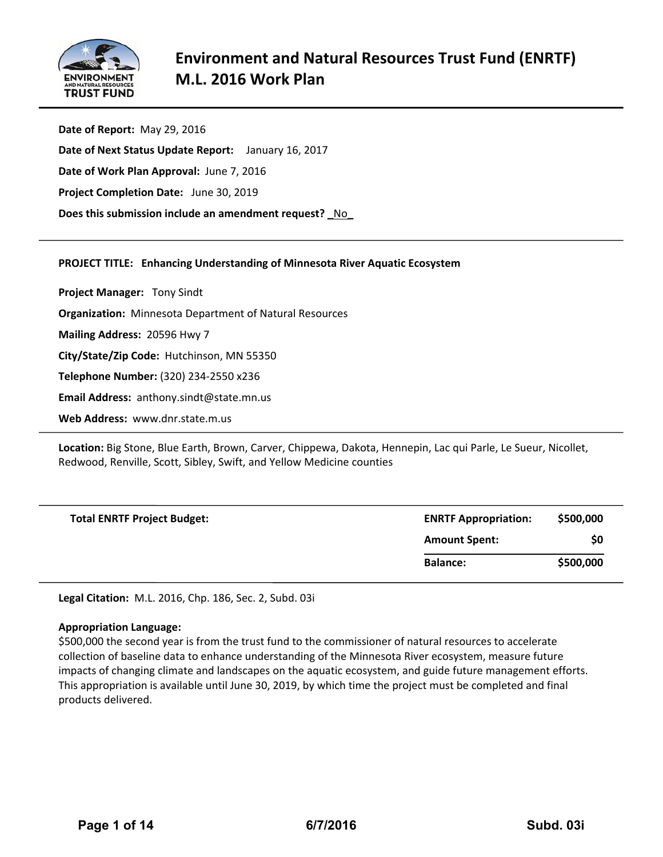

**Date of Report:** May 29, 2016 **Date of Next Status Update Report:**  January 16, 2017 **Date of Work Plan Approval:** June 7, 2016 **Project Completion Date:** June 30, 2019 **Does this submission include an amendment request? \_**No**\_**

# **PROJECT TITLE: Enhancing Understanding of Minnesota River Aquatic Ecosystem**

**Project Manager:**  Tony Sindt **Organization:** Minnesota Department of Natural Resources **Mailing Address:** 20596 Hwy 7 **City/State/Zip Code:** Hutchinson, MN 55350 **Telephone Number:** (320) 234‐2550 x236 **Email Address:** anthony.sindt@state.mn.us **Web Address:** www.dnr.state.m.us

**Location:** Big Stone, Blue Earth, Brown, Carver, Chippewa, Dakota, Hennepin, Lac qui Parle, Le Sueur, Nicollet, Redwood, Renville, Scott, Sibley, Swift, and Yellow Medicine counties

| <b>Total ENRTF Project Budget:</b> | <b>ENRTF Appropriation:</b> | \$500,000 |
|------------------------------------|-----------------------------|-----------|
|                                    | <b>Amount Spent:</b>        | \$0       |
|                                    | <b>Balance:</b>             | \$500,000 |

**Legal Citation:** M.L. 2016, Chp. 186, Sec. 2, Subd. 03i

#### **Appropriation Language:**

\$500,000 the second year is from the trust fund to the commissioner of natural resources to accelerate collection of baseline data to enhance understanding of the Minnesota River ecosystem, measure future impacts of changing climate and landscapes on the aquatic ecosystem, and guide future management efforts. This appropriation is available until June 30, 2019, by which time the project must be completed and final products delivered.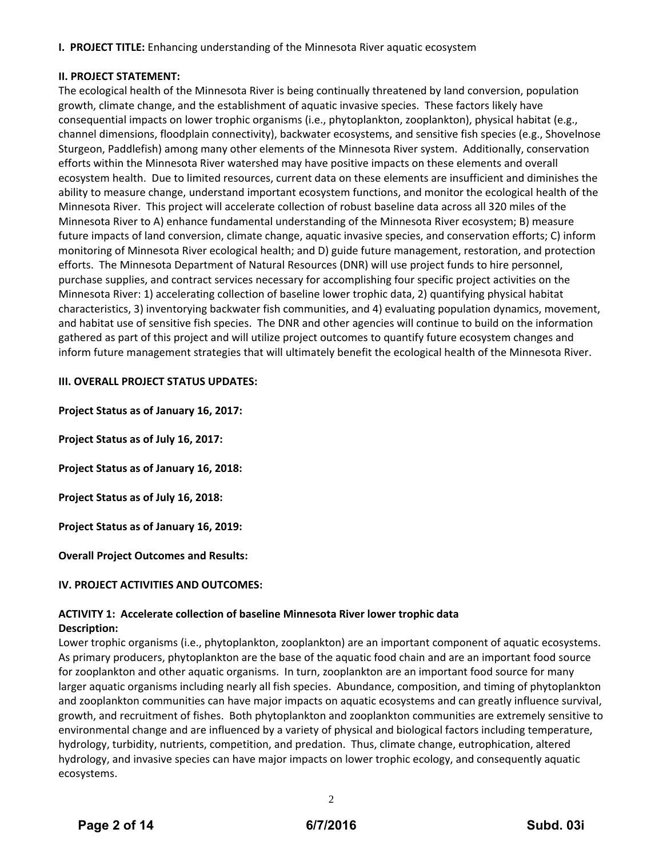**I. PROJECT TITLE:** Enhancing understanding of the Minnesota River aquatic ecosystem

# **II. PROJECT STATEMENT:**

The ecological health of the Minnesota River is being continually threatened by land conversion, population growth, climate change, and the establishment of aquatic invasive species. These factors likely have consequential impacts on lower trophic organisms (i.e., phytoplankton, zooplankton), physical habitat (e.g., channel dimensions, floodplain connectivity), backwater ecosystems, and sensitive fish species (e.g., Shovelnose Sturgeon, Paddlefish) among many other elements of the Minnesota River system. Additionally, conservation efforts within the Minnesota River watershed may have positive impacts on these elements and overall ecosystem health. Due to limited resources, current data on these elements are insufficient and diminishes the ability to measure change, understand important ecosystem functions, and monitor the ecological health of the Minnesota River. This project will accelerate collection of robust baseline data across all 320 miles of the Minnesota River to A) enhance fundamental understanding of the Minnesota River ecosystem; B) measure future impacts of land conversion, climate change, aquatic invasive species, and conservation efforts; C) inform monitoring of Minnesota River ecological health; and D) guide future management, restoration, and protection efforts. The Minnesota Department of Natural Resources (DNR) will use project funds to hire personnel, purchase supplies, and contract services necessary for accomplishing four specific project activities on the Minnesota River: 1) accelerating collection of baseline lower trophic data, 2) quantifying physical habitat characteristics, 3) inventorying backwater fish communities, and 4) evaluating population dynamics, movement, and habitat use of sensitive fish species. The DNR and other agencies will continue to build on the information gathered as part of this project and will utilize project outcomes to quantify future ecosystem changes and inform future management strategies that will ultimately benefit the ecological health of the Minnesota River.

# **III. OVERALL PROJECT STATUS UPDATES:**

**Project Status as of January 16, 2017:**

**Project Status as of July 16, 2017:**

**Project Status as of January 16, 2018:**

**Project Status as of July 16, 2018:**

**Project Status as of January 16, 2019:**

**Overall Project Outcomes and Results:** 

# **IV. PROJECT ACTIVITIES AND OUTCOMES:**

# **ACTIVITY 1: Accelerate collection of baseline Minnesota River lower trophic data Description:**

Lower trophic organisms (i.e., phytoplankton, zooplankton) are an important component of aquatic ecosystems. As primary producers, phytoplankton are the base of the aquatic food chain and are an important food source for zooplankton and other aquatic organisms. In turn, zooplankton are an important food source for many larger aquatic organisms including nearly all fish species. Abundance, composition, and timing of phytoplankton and zooplankton communities can have major impacts on aquatic ecosystems and can greatly influence survival, growth, and recruitment of fishes. Both phytoplankton and zooplankton communities are extremely sensitive to environmental change and are influenced by a variety of physical and biological factors including temperature, hydrology, turbidity, nutrients, competition, and predation. Thus, climate change, eutrophication, altered hydrology, and invasive species can have major impacts on lower trophic ecology, and consequently aquatic ecosystems.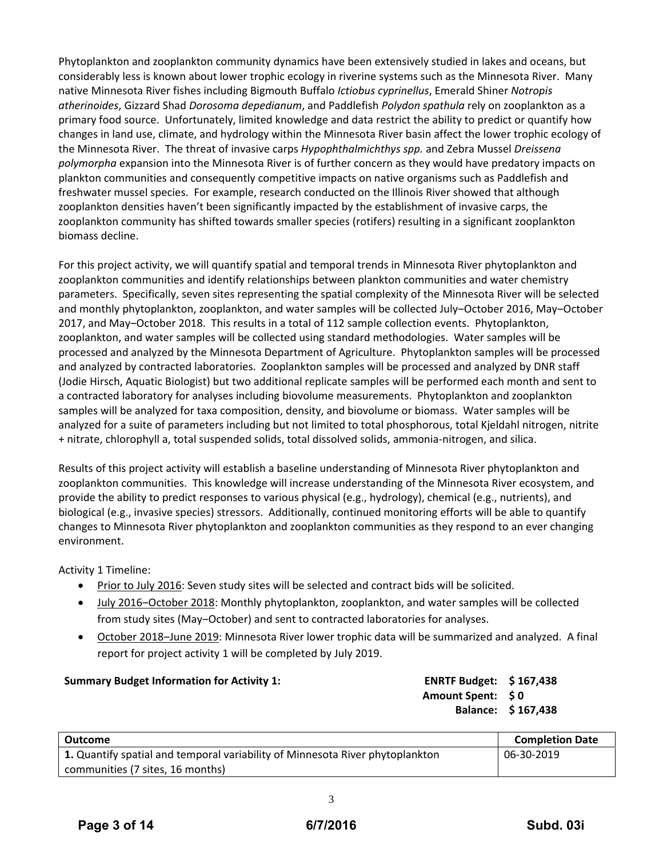Phytoplankton and zooplankton community dynamics have been extensively studied in lakes and oceans, but considerably less is known about lower trophic ecology in riverine systems such as the Minnesota River. Many native Minnesota River fishes including Bigmouth Buffalo *Ictiobus cyprinellus*, Emerald Shiner *Notropis atherinoides*, Gizzard Shad *Dorosoma depedianum*, and Paddlefish *Polydon spathula* rely on zooplankton as a primary food source. Unfortunately, limited knowledge and data restrict the ability to predict or quantify how changes in land use, climate, and hydrology within the Minnesota River basin affect the lower trophic ecology of the Minnesota River. The threat of invasive carps *Hypophthalmichthys spp.* and Zebra Mussel *Dreissena polymorpha* expansion into the Minnesota River is of further concern as they would have predatory impacts on plankton communities and consequently competitive impacts on native organisms such as Paddlefish and freshwater mussel species. For example, research conducted on the Illinois River showed that although zooplankton densities haven't been significantly impacted by the establishment of invasive carps, the zooplankton community has shifted towards smaller species (rotifers) resulting in a significant zooplankton biomass decline.

For this project activity, we will quantify spatial and temporal trends in Minnesota River phytoplankton and zooplankton communities and identify relationships between plankton communities and water chemistry parameters. Specifically, seven sites representing the spatial complexity of the Minnesota River will be selected and monthly phytoplankton, zooplankton, and water samples will be collected July-October 2016, May-October 2017, and May‒October 2018. This results in a total of 112 sample collection events. Phytoplankton, zooplankton, and water samples will be collected using standard methodologies. Water samples will be processed and analyzed by the Minnesota Department of Agriculture. Phytoplankton samples will be processed and analyzed by contracted laboratories. Zooplankton samples will be processed and analyzed by DNR staff (Jodie Hirsch, Aquatic Biologist) but two additional replicate samples will be performed each month and sent to a contracted laboratory for analyses including biovolume measurements. Phytoplankton and zooplankton samples will be analyzed for taxa composition, density, and biovolume or biomass. Water samples will be analyzed for a suite of parameters including but not limited to total phosphorous, total Kjeldahl nitrogen, nitrite + nitrate, chlorophyll a, total suspended solids, total dissolved solids, ammonia‐nitrogen, and silica.

Results of this project activity will establish a baseline understanding of Minnesota River phytoplankton and zooplankton communities. This knowledge will increase understanding of the Minnesota River ecosystem, and provide the ability to predict responses to various physical (e.g., hydrology), chemical (e.g., nutrients), and biological (e.g., invasive species) stressors. Additionally, continued monitoring efforts will be able to quantify changes to Minnesota River phytoplankton and zooplankton communities as they respond to an ever changing environment.

Activity 1 Timeline:

- Prior to July 2016: Seven study sites will be selected and contract bids will be solicited.
- July 2016–October 2018: Monthly phytoplankton, zooplankton, and water samples will be collected from study sites (May-October) and sent to contracted laboratories for analyses.
- October 2018-June 2019: Minnesota River lower trophic data will be summarized and analyzed. A final report for project activity 1 will be completed by July 2019.

#### **Summary Budget Information for Activity 1: ENRTF Budget: \$ 167,438**

**Amount Spent: \$ 0 Balance: \$ 167,438**

| Outcome                                                                       | <b>Completion Date</b> |
|-------------------------------------------------------------------------------|------------------------|
| 1. Quantify spatial and temporal variability of Minnesota River phytoplankton | 06-30-2019             |
| communities (7 sites, 16 months)                                              |                        |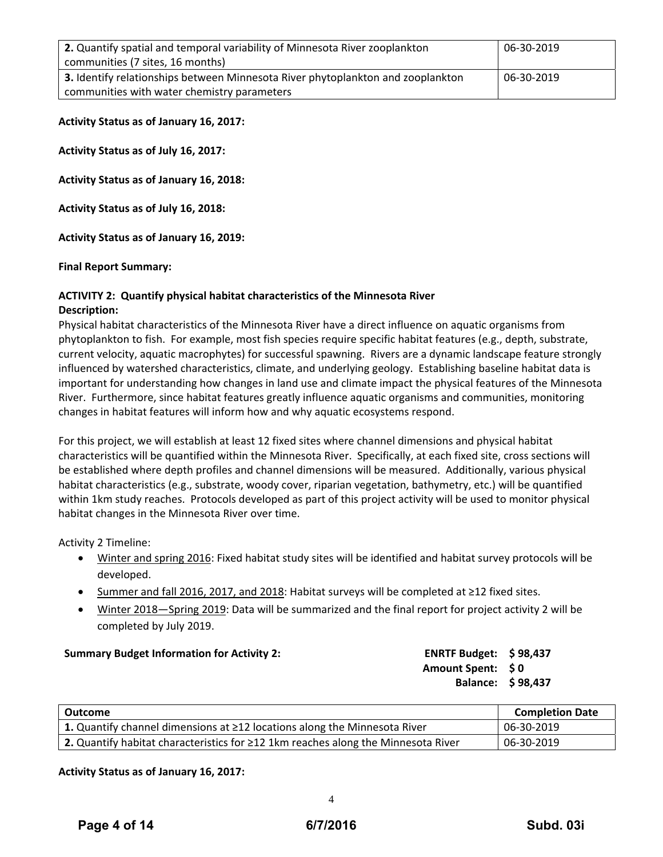| 2. Quantify spatial and temporal variability of Minnesota River zooplankton     | 06-30-2019 |
|---------------------------------------------------------------------------------|------------|
| communities (7 sites, 16 months)                                                |            |
| 3. Identify relationships between Minnesota River phytoplankton and zooplankton | 06-30-2019 |
| communities with water chemistry parameters                                     |            |

**Activity Status as of January 16, 2017:**

**Activity Status as of July 16, 2017:**

**Activity Status as of January 16, 2018:**

**Activity Status as of July 16, 2018:**

**Activity Status as of January 16, 2019:**

**Final Report Summary:**

#### **ACTIVITY 2: Quantify physical habitat characteristics of the Minnesota River Description:**

Physical habitat characteristics of the Minnesota River have a direct influence on aquatic organisms from phytoplankton to fish. For example, most fish species require specific habitat features (e.g., depth, substrate, current velocity, aquatic macrophytes) for successful spawning. Rivers are a dynamic landscape feature strongly influenced by watershed characteristics, climate, and underlying geology. Establishing baseline habitat data is important for understanding how changes in land use and climate impact the physical features of the Minnesota River. Furthermore, since habitat features greatly influence aquatic organisms and communities, monitoring changes in habitat features will inform how and why aquatic ecosystems respond.

For this project, we will establish at least 12 fixed sites where channel dimensions and physical habitat characteristics will be quantified within the Minnesota River. Specifically, at each fixed site, cross sections will be established where depth profiles and channel dimensions will be measured. Additionally, various physical habitat characteristics (e.g., substrate, woody cover, riparian vegetation, bathymetry, etc.) will be quantified within 1km study reaches. Protocols developed as part of this project activity will be used to monitor physical habitat changes in the Minnesota River over time.

Activity 2 Timeline:

- Winter and spring 2016: Fixed habitat study sites will be identified and habitat survey protocols will be developed.
- Summer and fall 2016, 2017, and 2018: Habitat surveys will be completed at ≥12 fixed sites.
- Winter 2018—Spring 2019: Data will be summarized and the final report for project activity 2 will be completed by July 2019.

| <b>Summary Budget Information for Activity 2:</b> | <b>ENRTF Budget: \$98,437</b> |  |
|---------------------------------------------------|-------------------------------|--|
|---------------------------------------------------|-------------------------------|--|

**Amount Spent: \$ 0 Balance: \$ 98,437**

| Outcome                                                                                 | <b>Completion Date</b> |
|-----------------------------------------------------------------------------------------|------------------------|
| <b>1.</b> Quantify channel dimensions at $\geq$ 12 locations along the Minnesota River  | 06-30-2019             |
| 2. Quantify habitat characteristics for $\geq$ 12 1km reaches along the Minnesota River | 06-30-2019             |

#### **Activity Status as of January 16, 2017:**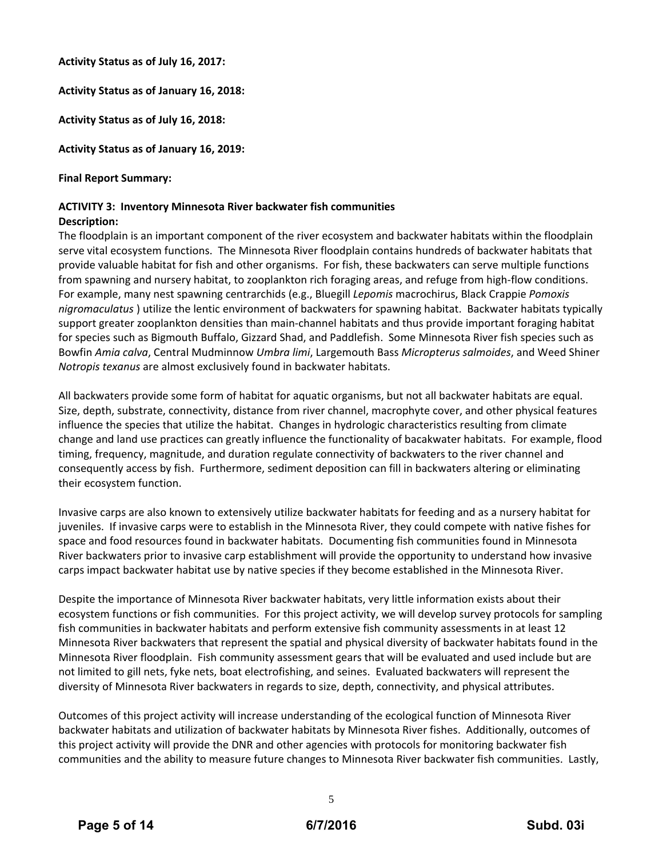**Activity Status as of July 16, 2017:**

**Activity Status as of January 16, 2018:**

**Activity Status as of July 16, 2018:**

**Activity Status as of January 16, 2019:**

# **Final Report Summary:**

#### **ACTIVITY 3: Inventory Minnesota River backwater fish communities Description:**

The floodplain is an important component of the river ecosystem and backwater habitats within the floodplain serve vital ecosystem functions. The Minnesota River floodplain contains hundreds of backwater habitats that provide valuable habitat for fish and other organisms. For fish, these backwaters can serve multiple functions from spawning and nursery habitat, to zooplankton rich foraging areas, and refuge from high‐flow conditions. For example, many nest spawning centrarchids (e.g., Bluegill *Lepomis* macrochirus, Black Crappie *Pomoxis nigromaculatus* ) utilize the lentic environment of backwaters for spawning habitat. Backwater habitats typically support greater zooplankton densities than main‐channel habitats and thus provide important foraging habitat for species such as Bigmouth Buffalo, Gizzard Shad, and Paddlefish. Some Minnesota River fish species such as Bowfin *Amia calva*, Central Mudminnow *Umbra limi*, Largemouth Bass *Micropterus salmoides*, and Weed Shiner *Notropis texanus* are almost exclusively found in backwater habitats.

All backwaters provide some form of habitat for aquatic organisms, but not all backwater habitats are equal. Size, depth, substrate, connectivity, distance from river channel, macrophyte cover, and other physical features influence the species that utilize the habitat. Changes in hydrologic characteristics resulting from climate change and land use practices can greatly influence the functionality of bacakwater habitats. For example, flood timing, frequency, magnitude, and duration regulate connectivity of backwaters to the river channel and consequently access by fish. Furthermore, sediment deposition can fill in backwaters altering or eliminating their ecosystem function.

Invasive carps are also known to extensively utilize backwater habitats for feeding and as a nursery habitat for juveniles. If invasive carps were to establish in the Minnesota River, they could compete with native fishes for space and food resources found in backwater habitats. Documenting fish communities found in Minnesota River backwaters prior to invasive carp establishment will provide the opportunity to understand how invasive carps impact backwater habitat use by native species if they become established in the Minnesota River.

Despite the importance of Minnesota River backwater habitats, very little information exists about their ecosystem functions or fish communities. For this project activity, we will develop survey protocols for sampling fish communities in backwater habitats and perform extensive fish community assessments in at least 12 Minnesota River backwaters that represent the spatial and physical diversity of backwater habitats found in the Minnesota River floodplain. Fish community assessment gears that will be evaluated and used include but are not limited to gill nets, fyke nets, boat electrofishing, and seines. Evaluated backwaters will represent the diversity of Minnesota River backwaters in regards to size, depth, connectivity, and physical attributes.

Outcomes of this project activity will increase understanding of the ecological function of Minnesota River backwater habitats and utilization of backwater habitats by Minnesota River fishes. Additionally, outcomes of this project activity will provide the DNR and other agencies with protocols for monitoring backwater fish communities and the ability to measure future changes to Minnesota River backwater fish communities. Lastly,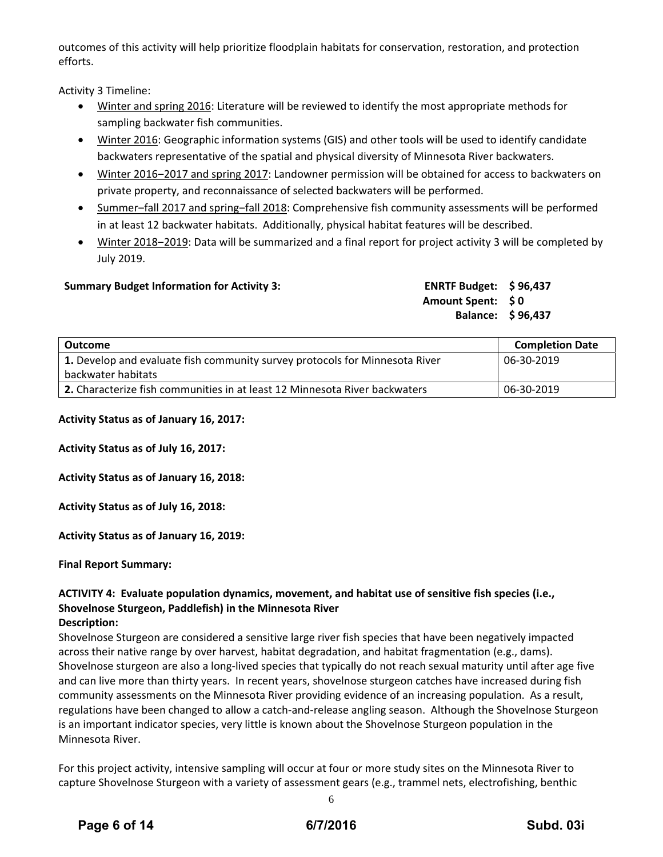outcomes of this activity will help prioritize floodplain habitats for conservation, restoration, and protection efforts.

Activity 3 Timeline:

- Winter and spring 2016: Literature will be reviewed to identify the most appropriate methods for sampling backwater fish communities.
- Winter 2016: Geographic information systems (GIS) and other tools will be used to identify candidate backwaters representative of the spatial and physical diversity of Minnesota River backwaters.
- Winter 2016‒2017 and spring 2017: Landowner permission will be obtained for access to backwaters on private property, and reconnaissance of selected backwaters will be performed.
- Summer-fall 2017 and spring-fall 2018: Comprehensive fish community assessments will be performed in at least 12 backwater habitats. Additionally, physical habitat features will be described.
- Winter 2018–2019: Data will be summarized and a final report for project activity 3 will be completed by July 2019.

# **Summary Budget Information for Activity 3: ENRTF Budget: \$ 96,437**

**Amount Spent: \$ 0 Balance: \$ 96,437**

| Outcome                                                                     | <b>Completion Date</b> |
|-----------------------------------------------------------------------------|------------------------|
| 1. Develop and evaluate fish community survey protocols for Minnesota River | 06-30-2019             |
| backwater habitats                                                          |                        |
| 2. Characterize fish communities in at least 12 Minnesota River backwaters  | 06-30-2019             |

**Activity Status as of January 16, 2017:**

**Activity Status as of July 16, 2017:**

**Activity Status as of January 16, 2018:**

**Activity Status as of July 16, 2018:**

**Activity Status as of January 16, 2019:**

**Final Report Summary:**

# **ACTIVITY 4: Evaluate population dynamics, movement, and habitat use of sensitive fish species (i.e., Shovelnose Sturgeon, Paddlefish) in the Minnesota River**

# **Description:**

Shovelnose Sturgeon are considered a sensitive large river fish species that have been negatively impacted across their native range by over harvest, habitat degradation, and habitat fragmentation (e.g., dams). Shovelnose sturgeon are also a long‐lived species that typically do not reach sexual maturity until after age five and can live more than thirty years. In recent years, shovelnose sturgeon catches have increased during fish community assessments on the Minnesota River providing evidence of an increasing population. As a result, regulations have been changed to allow a catch‐and‐release angling season. Although the Shovelnose Sturgeon is an important indicator species, very little is known about the Shovelnose Sturgeon population in the Minnesota River.

For this project activity, intensive sampling will occur at four or more study sites on the Minnesota River to capture Shovelnose Sturgeon with a variety of assessment gears (e.g., trammel nets, electrofishing, benthic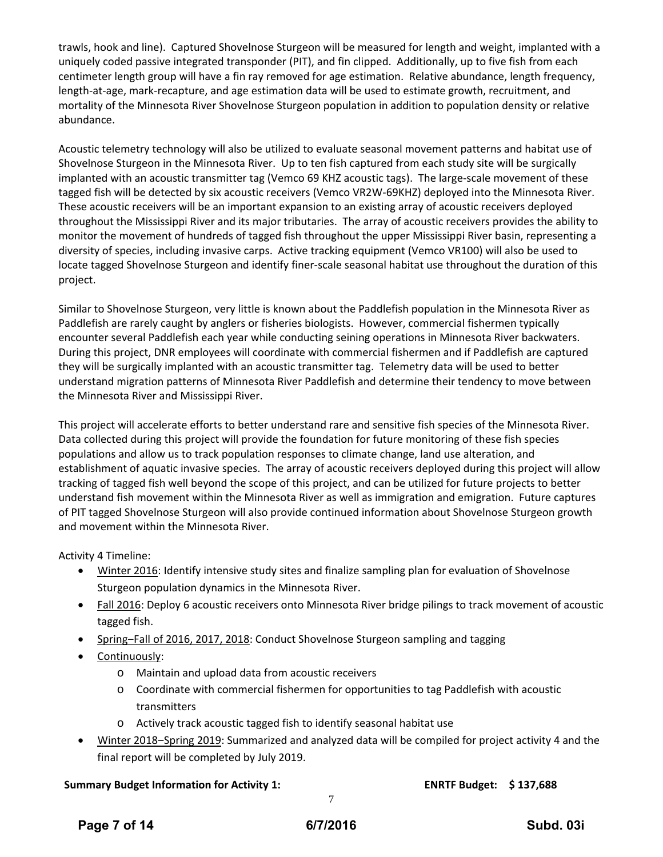trawls, hook and line). Captured Shovelnose Sturgeon will be measured for length and weight, implanted with a uniquely coded passive integrated transponder (PIT), and fin clipped. Additionally, up to five fish from each centimeter length group will have a fin ray removed for age estimation. Relative abundance, length frequency, length‐at‐age, mark‐recapture, and age estimation data will be used to estimate growth, recruitment, and mortality of the Minnesota River Shovelnose Sturgeon population in addition to population density or relative abundance.

Acoustic telemetry technology will also be utilized to evaluate seasonal movement patterns and habitat use of Shovelnose Sturgeon in the Minnesota River. Up to ten fish captured from each study site will be surgically implanted with an acoustic transmitter tag (Vemco 69 KHZ acoustic tags). The large‐scale movement of these tagged fish will be detected by six acoustic receivers (Vemco VR2W‐69KHZ) deployed into the Minnesota River. These acoustic receivers will be an important expansion to an existing array of acoustic receivers deployed throughout the Mississippi River and its major tributaries. The array of acoustic receivers provides the ability to monitor the movement of hundreds of tagged fish throughout the upper Mississippi River basin, representing a diversity of species, including invasive carps. Active tracking equipment (Vemco VR100) will also be used to locate tagged Shovelnose Sturgeon and identify finer‐scale seasonal habitat use throughout the duration of this project.

Similar to Shovelnose Sturgeon, very little is known about the Paddlefish population in the Minnesota River as Paddlefish are rarely caught by anglers or fisheries biologists. However, commercial fishermen typically encounter several Paddlefish each year while conducting seining operations in Minnesota River backwaters. During this project, DNR employees will coordinate with commercial fishermen and if Paddlefish are captured they will be surgically implanted with an acoustic transmitter tag. Telemetry data will be used to better understand migration patterns of Minnesota River Paddlefish and determine their tendency to move between the Minnesota River and Mississippi River.

This project will accelerate efforts to better understand rare and sensitive fish species of the Minnesota River. Data collected during this project will provide the foundation for future monitoring of these fish species populations and allow us to track population responses to climate change, land use alteration, and establishment of aquatic invasive species. The array of acoustic receivers deployed during this project will allow tracking of tagged fish well beyond the scope of this project, and can be utilized for future projects to better understand fish movement within the Minnesota River as well as immigration and emigration. Future captures of PIT tagged Shovelnose Sturgeon will also provide continued information about Shovelnose Sturgeon growth and movement within the Minnesota River.

Activity 4 Timeline:

- Winter 2016: Identify intensive study sites and finalize sampling plan for evaluation of Shovelnose Sturgeon population dynamics in the Minnesota River.
- Fall 2016: Deploy 6 acoustic receivers onto Minnesota River bridge pilings to track movement of acoustic tagged fish.
- Spring–Fall of 2016, 2017, 2018: Conduct Shovelnose Sturgeon sampling and tagging
- Continuously:
	- o Maintain and upload data from acoustic receivers
	- o Coordinate with commercial fishermen for opportunities to tag Paddlefish with acoustic transmitters
	- o Actively track acoustic tagged fish to identify seasonal habitat use
- Winter 2018‒Spring 2019: Summarized and analyzed data will be compiled for project activity 4 and the final report will be completed by July 2019.

# **Summary Budget Information for Activity 1: ENRTF Budget: \$ 137,688**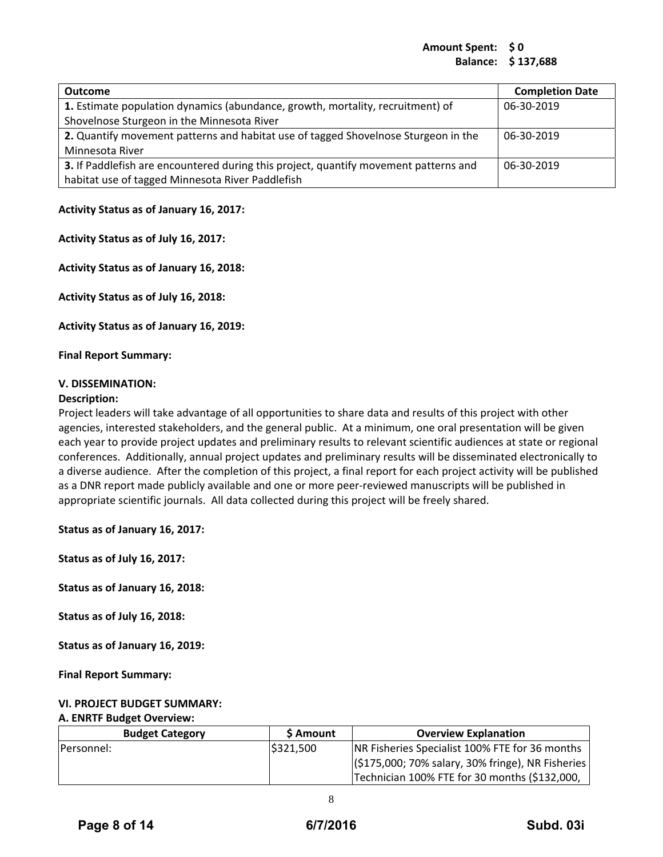# **Amount Spent: \$ 0 Balance: \$ 137,688**

| <b>Outcome</b>                                                                       | <b>Completion Date</b> |
|--------------------------------------------------------------------------------------|------------------------|
| 1. Estimate population dynamics (abundance, growth, mortality, recruitment) of       | 06-30-2019             |
| Shovelnose Sturgeon in the Minnesota River                                           |                        |
| 2. Quantify movement patterns and habitat use of tagged Shovelnose Sturgeon in the   | 06-30-2019             |
| Minnesota River                                                                      |                        |
| 3. If Paddlefish are encountered during this project, quantify movement patterns and | 06-30-2019             |
| habitat use of tagged Minnesota River Paddlefish                                     |                        |

#### **Activity Status as of January 16, 2017:**

**Activity Status as of July 16, 2017:**

**Activity Status as of January 16, 2018:**

**Activity Status as of July 16, 2018:**

**Activity Status as of January 16, 2019:**

**Final Report Summary:**

#### **V. DISSEMINATION:**

#### **Description:**

Project leaders will take advantage of all opportunities to share data and results of this project with other agencies, interested stakeholders, and the general public. At a minimum, one oral presentation will be given each year to provide project updates and preliminary results to relevant scientific audiences at state or regional conferences. Additionally, annual project updates and preliminary results will be disseminated electronically to a diverse audience. After the completion of this project, a final report for each project activity will be published as a DNR report made publicly available and one or more peer‐reviewed manuscripts will be published in appropriate scientific journals. All data collected during this project will be freely shared.

**Status as of January 16, 2017:**

**Status as of July 16, 2017:**

**Status as of January 16, 2018:**

**Status as of July 16, 2018:**

**Status as of January 16, 2019:**

**Final Report Summary:**

#### **VI. PROJECT BUDGET SUMMARY:**

#### **A. ENRTF Budget Overview:**

| <b>Budget Category</b> | <b>S</b> Amount | <b>Overview Explanation</b>                       |
|------------------------|-----------------|---------------------------------------------------|
| <b>IPersonnel:</b>     | IS321.500       | NR Fisheries Specialist 100% FTE for 36 months    |
|                        |                 | (\$175,000; 70% salary, 30% fringe), NR Fisheries |
|                        |                 | Technician 100% FTE for 30 months (\$132,000,     |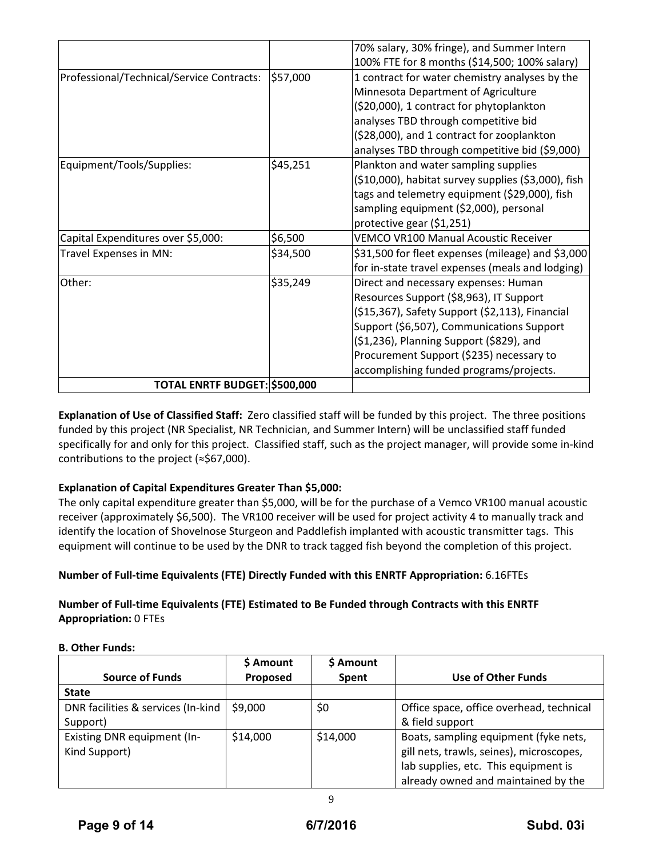|                                           |          | 70% salary, 30% fringe), and Summer Intern          |
|-------------------------------------------|----------|-----------------------------------------------------|
|                                           |          | 100% FTE for 8 months (\$14,500; 100% salary)       |
| Professional/Technical/Service Contracts: | \$57,000 | 1 contract for water chemistry analyses by the      |
|                                           |          | Minnesota Department of Agriculture                 |
|                                           |          | (\$20,000), 1 contract for phytoplankton            |
|                                           |          | analyses TBD through competitive bid                |
|                                           |          | (\$28,000), and 1 contract for zooplankton          |
|                                           |          | analyses TBD through competitive bid (\$9,000)      |
| Equipment/Tools/Supplies:                 | \$45,251 | Plankton and water sampling supplies                |
|                                           |          | (\$10,000), habitat survey supplies (\$3,000), fish |
|                                           |          | tags and telemetry equipment (\$29,000), fish       |
|                                           |          | sampling equipment (\$2,000), personal              |
|                                           |          | protective gear (\$1,251)                           |
| Capital Expenditures over \$5,000:        | \$6,500  | <b>VEMCO VR100 Manual Acoustic Receiver</b>         |
| Travel Expenses in MN:                    | \$34,500 | \$31,500 for fleet expenses (mileage) and \$3,000   |
|                                           |          | for in-state travel expenses (meals and lodging)    |
| Other:                                    | \$35,249 | Direct and necessary expenses: Human                |
|                                           |          | Resources Support (\$8,963), IT Support             |
|                                           |          | (\$15,367), Safety Support (\$2,113), Financial     |
|                                           |          | Support (\$6,507), Communications Support           |
|                                           |          | (\$1,236), Planning Support (\$829), and            |
|                                           |          | Procurement Support (\$235) necessary to            |
|                                           |          | accomplishing funded programs/projects.             |
| TOTAL ENRTF BUDGET: \$500,000             |          |                                                     |

**Explanation of Use of Classified Staff:** Zero classified staff will be funded by this project. The three positions funded by this project (NR Specialist, NR Technician, and Summer Intern) will be unclassified staff funded specifically for and only for this project. Classified staff, such as the project manager, will provide some in‐kind contributions to the project (≈\$67,000).

# **Explanation of Capital Expenditures Greater Than \$5,000:**

The only capital expenditure greater than \$5,000, will be for the purchase of a Vemco VR100 manual acoustic receiver (approximately \$6,500). The VR100 receiver will be used for project activity 4 to manually track and identify the location of Shovelnose Sturgeon and Paddlefish implanted with acoustic transmitter tags. This equipment will continue to be used by the DNR to track tagged fish beyond the completion of this project.

# **Number of Full‐time Equivalents (FTE) Directly Funded with this ENRTF Appropriation:** 6.16FTEs

# **Number of Full‐time Equivalents (FTE) Estimated to Be Funded through Contracts with this ENRTF Appropriation:** 0 FTEs

# **B. Other Funds:**

| <b>Source of Funds</b>                         | \$ Amount<br>Proposed | \$ Amount<br><b>Spent</b> | <b>Use of Other Funds</b>                                                                                                                                        |
|------------------------------------------------|-----------------------|---------------------------|------------------------------------------------------------------------------------------------------------------------------------------------------------------|
| <b>State</b>                                   |                       |                           |                                                                                                                                                                  |
| DNR facilities & services (In-kind<br>Support) | \$9,000               | \$0                       | Office space, office overhead, technical<br>& field support                                                                                                      |
| Existing DNR equipment (In-<br>Kind Support)   | \$14,000              | \$14,000                  | Boats, sampling equipment (fyke nets,<br>gill nets, trawls, seines), microscopes,<br>lab supplies, etc. This equipment is<br>already owned and maintained by the |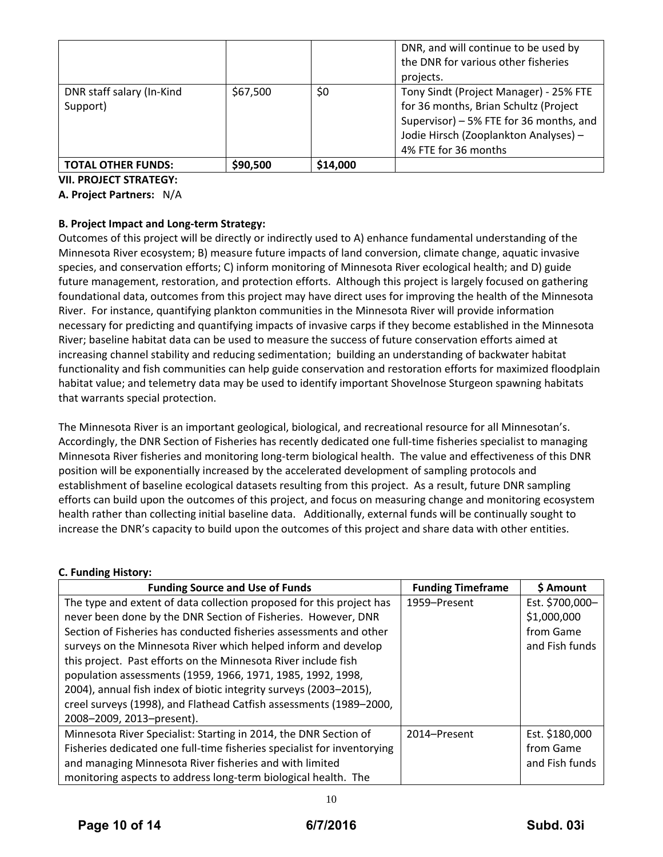|                                       |          |          | DNR, and will continue to be used by<br>the DNR for various other fisheries<br>projects.                                                                                                    |
|---------------------------------------|----------|----------|---------------------------------------------------------------------------------------------------------------------------------------------------------------------------------------------|
| DNR staff salary (In-Kind<br>Support) | \$67,500 | \$0      | Tony Sindt (Project Manager) - 25% FTE<br>for 36 months, Brian Schultz (Project<br>Supervisor) - 5% FTE for 36 months, and<br>Jodie Hirsch (Zooplankton Analyses) -<br>4% FTE for 36 months |
| <b>TOTAL OTHER FUNDS:</b>             | \$90,500 | \$14,000 |                                                                                                                                                                                             |

**VII. PROJECT STRATEGY:**

#### **A. Project Partners:** N/A

# **B. Project Impact and Long‐term Strategy:**

Outcomes of this project will be directly or indirectly used to A) enhance fundamental understanding of the Minnesota River ecosystem; B) measure future impacts of land conversion, climate change, aquatic invasive species, and conservation efforts; C) inform monitoring of Minnesota River ecological health; and D) guide future management, restoration, and protection efforts. Although this project is largely focused on gathering foundational data, outcomes from this project may have direct uses for improving the health of the Minnesota River. For instance, quantifying plankton communities in the Minnesota River will provide information necessary for predicting and quantifying impacts of invasive carps if they become established in the Minnesota River; baseline habitat data can be used to measure the success of future conservation efforts aimed at increasing channel stability and reducing sedimentation; building an understanding of backwater habitat functionality and fish communities can help guide conservation and restoration efforts for maximized floodplain habitat value; and telemetry data may be used to identify important Shovelnose Sturgeon spawning habitats that warrants special protection.

The Minnesota River is an important geological, biological, and recreational resource for all Minnesotan's. Accordingly, the DNR Section of Fisheries has recently dedicated one full‐time fisheries specialist to managing Minnesota River fisheries and monitoring long‐term biological health. The value and effectiveness of this DNR position will be exponentially increased by the accelerated development of sampling protocols and establishment of baseline ecological datasets resulting from this project. As a result, future DNR sampling efforts can build upon the outcomes of this project, and focus on measuring change and monitoring ecosystem health rather than collecting initial baseline data. Additionally, external funds will be continually sought to increase the DNR's capacity to build upon the outcomes of this project and share data with other entities.

#### **C. Funding History:**

| <b>Funding Source and Use of Funds</b>                                  | <b>Funding Timeframe</b> | \$ Amount       |
|-------------------------------------------------------------------------|--------------------------|-----------------|
| The type and extent of data collection proposed for this project has    | 1959-Present             | Est. \$700,000- |
| never been done by the DNR Section of Fisheries. However, DNR           |                          | \$1,000,000     |
| Section of Fisheries has conducted fisheries assessments and other      |                          | from Game       |
| surveys on the Minnesota River which helped inform and develop          |                          | and Fish funds  |
| this project. Past efforts on the Minnesota River include fish          |                          |                 |
| population assessments (1959, 1966, 1971, 1985, 1992, 1998,             |                          |                 |
| 2004), annual fish index of biotic integrity surveys (2003-2015),       |                          |                 |
| creel surveys (1998), and Flathead Catfish assessments (1989-2000,      |                          |                 |
| 2008-2009, 2013-present).                                               |                          |                 |
| Minnesota River Specialist: Starting in 2014, the DNR Section of        | 2014–Present             | Est. \$180,000  |
| Fisheries dedicated one full-time fisheries specialist for inventorying |                          | from Game       |
| and managing Minnesota River fisheries and with limited                 |                          | and Fish funds  |
| monitoring aspects to address long-term biological health. The          |                          |                 |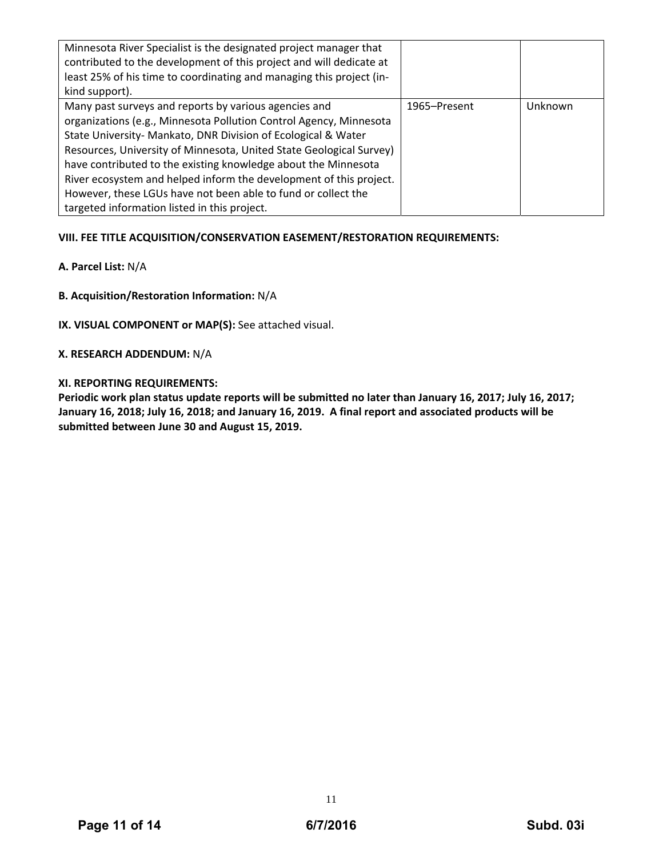| Minnesota River Specialist is the designated project manager that<br>contributed to the development of this project and will dedicate at<br>least 25% of his time to coordinating and managing this project (in-<br>kind support).                                                                                                                                                                                                                                                                                           |              |         |
|------------------------------------------------------------------------------------------------------------------------------------------------------------------------------------------------------------------------------------------------------------------------------------------------------------------------------------------------------------------------------------------------------------------------------------------------------------------------------------------------------------------------------|--------------|---------|
| Many past surveys and reports by various agencies and<br>organizations (e.g., Minnesota Pollution Control Agency, Minnesota<br>State University- Mankato, DNR Division of Ecological & Water<br>Resources, University of Minnesota, United State Geological Survey)<br>have contributed to the existing knowledge about the Minnesota<br>River ecosystem and helped inform the development of this project.<br>However, these LGUs have not been able to fund or collect the<br>targeted information listed in this project. | 1965–Present | Unknown |

# **VIII. FEE TITLE ACQUISITION/CONSERVATION EASEMENT/RESTORATION REQUIREMENTS:**

# **A. Parcel List:** N/A

**B. Acquisition/Restoration Information:** N/A

**IX. VISUAL COMPONENT or MAP(S):** See attached visual.

# **X. RESEARCH ADDENDUM:** N/A

# **XI. REPORTING REQUIREMENTS:**

Periodic work plan status update reports will be submitted no later than January 16, 2017; July 16, 2017; January 16, 2018; July 16, 2018; and January 16, 2019. A final report and associated products will be **submitted between June 30 and August 15, 2019.**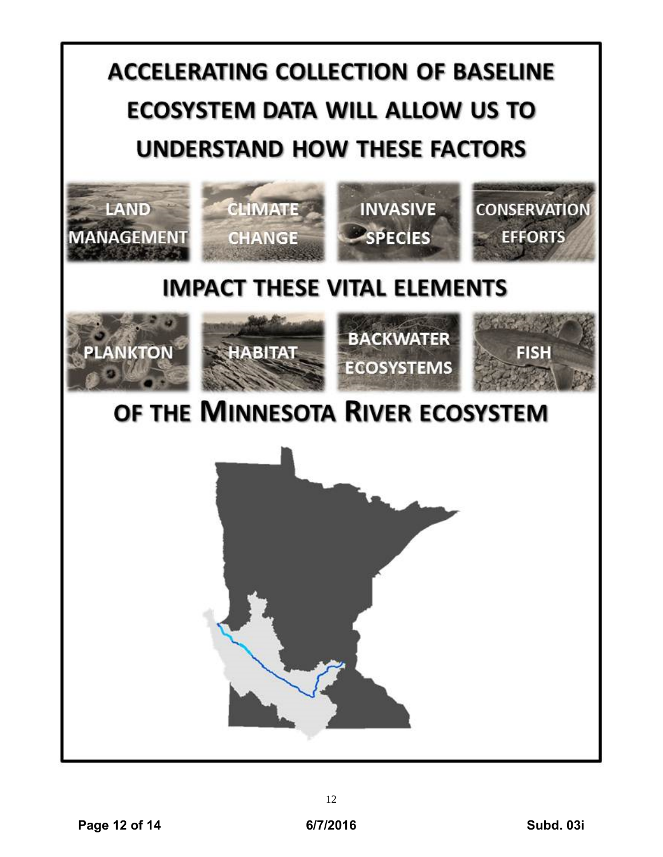# **ACCELERATING COLLECTION OF BASELINE ECOSYSTEM DATA WILL ALLOW US TO UNDERSTAND HOW THESE FACTORS**



# **IMPACT THESE VITAL ELEMENTS**









# OF THE MINNESOTA RIVER ECOSYSTEM